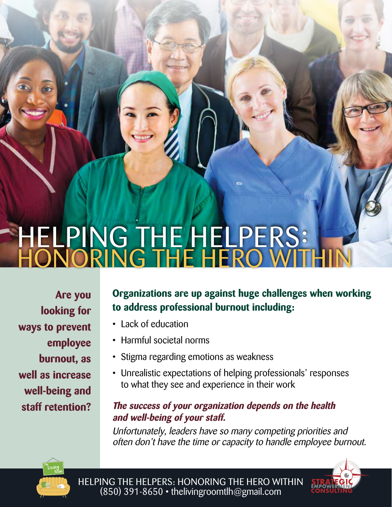# HELPING THE HELPERS: HONORING THE HERO WITHIN

**Are you looking for ways to prevent employee burnout, as well as increase well-being and staff retention?**

## **Organizations are up against huge challenges when working to address professional burnout including:**

- Lack of education
- Harmful societal norms
- Stigma regarding emotions as weakness
- Unrealistic expectations of helping professionals' responses to what they see and experience in their work

## **The success of your organization depends on the health and well-being of your staff.**

Unfortunately, leaders have so many competing priorities and often don't have the time or capacity to handle employee burnout.





HELPING THE HELPERS: HONORING THE HERO WITHIN (850) 391-8650 • thelivingroomtlh@gmail.com